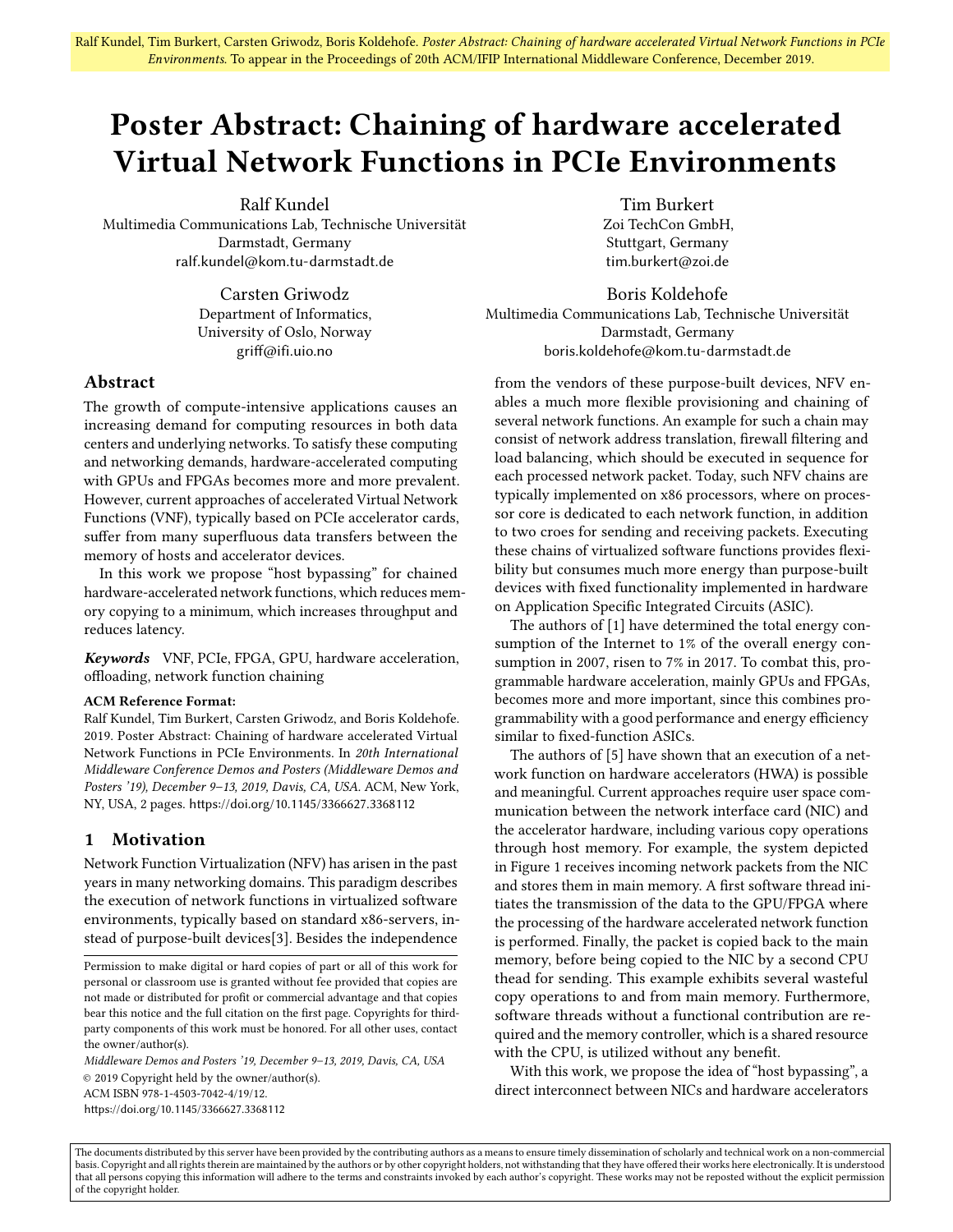# Poster Abstract: Chaining of hardware accelerated Virtual Network Functions in PCIe Environments

Ralf Kundel

Multimedia Communications Lab, Technische Universität Darmstadt, Germany ralf.kundel@kom.tu-darmstadt.de

> Carsten Griwodz Department of Informatics, University of Oslo, Norway griff@ifi.uio.no

## Abstract

The growth of compute-intensive applications causes an increasing demand for computing resources in both data centers and underlying networks. To satisfy these computing and networking demands, hardware-accelerated computing with GPUs and FPGAs becomes more and more prevalent. However, current approaches of accelerated Virtual Network Functions (VNF), typically based on PCIe accelerator cards, suffer from many superfluous data transfers between the memory of hosts and accelerator devices.

In this work we propose "host bypassing" for chained hardware-accelerated network functions, which reduces memory copying to a minimum, which increases throughput and reduces latency.

Keywords VNF, PCIe, FPGA, GPU, hardware acceleration, offloading, network function chaining

#### ACM Reference Format:

Ralf Kundel, Tim Burkert, Carsten Griwodz, and Boris Koldehofe. 2019. Poster Abstract: Chaining of hardware accelerated Virtual Network Functions in PCIe Environments. In 20th International Middleware Conference Demos and Posters (Middleware Demos and Posters '19), December 9–13, 2019, Davis, CA, USA. ACM, New York, NY, USA, [2](#page-1-0) pages. <https://doi.org/10.1145/3366627.3368112>

## 1 Motivation

Network Function Virtualization (NFV) has arisen in the past years in many networking domains. This paradigm describes the execution of network functions in virtualized software environments, typically based on standard x86-servers, instead of purpose-built devices[\[3\]](#page-1-1). Besides the independence

Middleware Demos and Posters '19, December 9–13, 2019, Davis, CA, USA © 2019 Copyright held by the owner/author(s). ACM ISBN 978-1-4503-7042-4/19/12. <https://doi.org/10.1145/3366627.3368112>

Tim Burkert Zoi TechCon GmbH, Stuttgart, Germany tim.burkert@zoi.de

Boris Koldehofe Multimedia Communications Lab, Technische Universität Darmstadt, Germany boris.koldehofe@kom.tu-darmstadt.de

from the vendors of these purpose-built devices, NFV enables a much more flexible provisioning and chaining of several network functions. An example for such a chain may consist of network address translation, firewall filtering and load balancing, which should be executed in sequence for each processed network packet. Today, such NFV chains are typically implemented on x86 processors, where on processor core is dedicated to each network function, in addition to two croes for sending and receiving packets. Executing these chains of virtualized software functions provides flexibility but consumes much more energy than purpose-built devices with fixed functionality implemented in hardware on Application Specific Integrated Circuits (ASIC).

The authors of [\[1\]](#page-1-2) have determined the total energy consumption of the Internet to 1% of the overall energy consumption in 2007, risen to 7% in 2017. To combat this, programmable hardware acceleration, mainly GPUs and FPGAs, becomes more and more important, since this combines programmability with a good performance and energy efficiency similar to fixed-function ASICs.

The authors of [\[5\]](#page-1-3) have shown that an execution of a network function on hardware accelerators (HWA) is possible and meaningful. Current approaches require user space communication between the network interface card (NIC) and the accelerator hardware, including various copy operations through host memory. For example, the system depicted in Figure [1](#page-1-4) receives incoming network packets from the NIC and stores them in main memory. A first software thread initiates the transmission of the data to the GPU/FPGA where the processing of the hardware accelerated network function is performed. Finally, the packet is copied back to the main memory, before being copied to the NIC by a second CPU thead for sending. This example exhibits several wasteful copy operations to and from main memory. Furthermore, software threads without a functional contribution are required and the memory controller, which is a shared resource with the CPU, is utilized without any benefit.

With this work, we propose the idea of "host bypassing", a direct interconnect between NICs and hardware accelerators

The documents distributed by this server have been provided by the contributing authors as a means to ensure timely dissemination of scholarly and technical work on a non-commercial basis. Copyright and all rights therein are maintained by the authors or by other copyright holders, not withstanding that they have offered their works here electronically. It is understood that all persons copying this information will adhere to the terms and constraints invoked by each author's copyright. These works may not be reposted without the explicit permission of the copyright holder.

Permission to make digital or hard copies of part or all of this work for personal or classroom use is granted without fee provided that copies are not made or distributed for profit or commercial advantage and that copies bear this notice and the full citation on the first page. Copyrights for thirdparty components of this work must be honored. For all other uses, contact the owner/author(s).